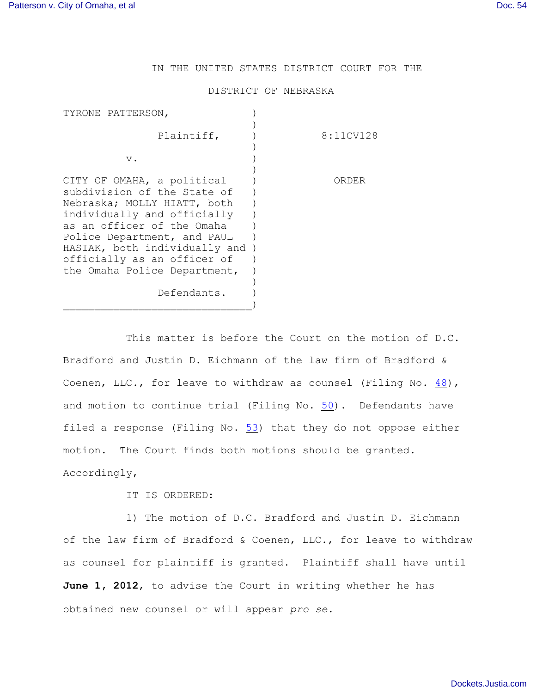## IN THE UNITED STATES DISTRICT COURT FOR THE

## DISTRICT OF NEBRASKA

| TYRONE PATTERSON,             |           |
|-------------------------------|-----------|
|                               |           |
| Plaintiff,                    | 8:11CV128 |
|                               |           |
| $V$ .                         |           |
|                               |           |
| CITY OF OMAHA, a political    | ORDER     |
| subdivision of the State of   |           |
| Nebraska; MOLLY HIATT, both   |           |
| individually and officially   |           |
| as an officer of the Omaha    |           |
| Police Department, and PAUL   |           |
| HASIAK, both individually and |           |
| officially as an officer of   |           |
| the Omaha Police Department,  |           |
|                               |           |
| Defendants.                   |           |
|                               |           |

This matter is before the Court on the motion of D.C. Bradford and Justin D. Eichmann of the law firm of Bradford & Coenen, LLC., for leave to withdraw as counsel (Filing No. [48](http://ecf.ned.uscourts.gov/doc1/11302504775)), and motion to continue trial (Filing No. [50](http://ecf.ned.uscourts.gov/doc1/11302505881)). Defendants have filed a response (Filing No.  $53$ ) that they do not oppose either motion. The Court finds both motions should be granted. Accordingly,

IT IS ORDERED:

1) The motion of D.C. Bradford and Justin D. Eichmann of the law firm of Bradford & Coenen, LLC., for leave to withdraw as counsel for plaintiff is granted. Plaintiff shall have until June 1, 2012, to advise the Court in writing whether he has obtained new counsel or will appear *pro se*.